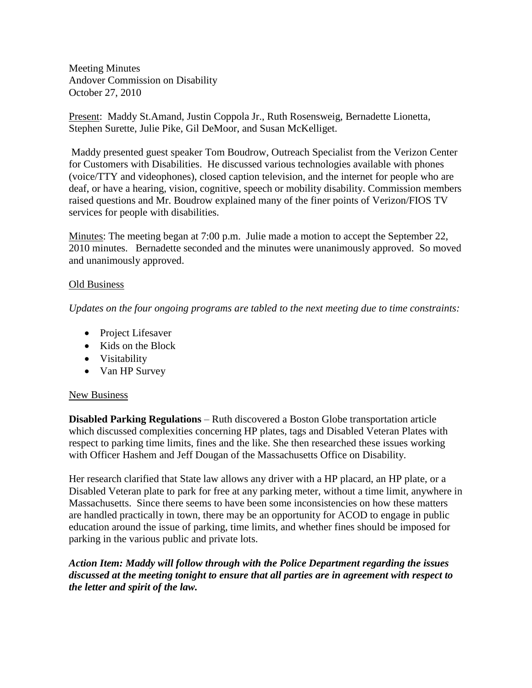Meeting Minutes Andover Commission on Disability October 27, 2010

Present: Maddy St.Amand, Justin Coppola Jr., Ruth Rosensweig, Bernadette Lionetta, Stephen Surette, Julie Pike, Gil DeMoor, and Susan McKelliget.

Maddy presented guest speaker Tom Boudrow, Outreach Specialist from the Verizon Center for Customers with Disabilities. He discussed various technologies available with phones (voice/TTY and videophones), closed caption television, and the internet for people who are deaf, or have a hearing, vision, cognitive, speech or mobility disability. Commission members raised questions and Mr. Boudrow explained many of the finer points of Verizon/FIOS TV services for people with disabilities.

Minutes: The meeting began at 7:00 p.m. Julie made a motion to accept the September 22, 2010 minutes. Bernadette seconded and the minutes were unanimously approved. So moved and unanimously approved.

## Old Business

*Updates on the four ongoing programs are tabled to the next meeting due to time constraints:*

- Project Lifesaver
- Kids on the Block
- Visitability
- Van HP Survey

## New Business

**Disabled Parking Regulations** – Ruth discovered a Boston Globe transportation article which discussed complexities concerning HP plates, tags and Disabled Veteran Plates with respect to parking time limits, fines and the like. She then researched these issues working with Officer Hashem and Jeff Dougan of the Massachusetts Office on Disability.

Her research clarified that State law allows any driver with a HP placard, an HP plate, or a Disabled Veteran plate to park for free at any parking meter, without a time limit, anywhere in Massachusetts. Since there seems to have been some inconsistencies on how these matters are handled practically in town, there may be an opportunity for ACOD to engage in public education around the issue of parking, time limits, and whether fines should be imposed for parking in the various public and private lots.

*Action Item: Maddy will follow through with the Police Department regarding the issues discussed at the meeting tonight to ensure that all parties are in agreement with respect to the letter and spirit of the law.*